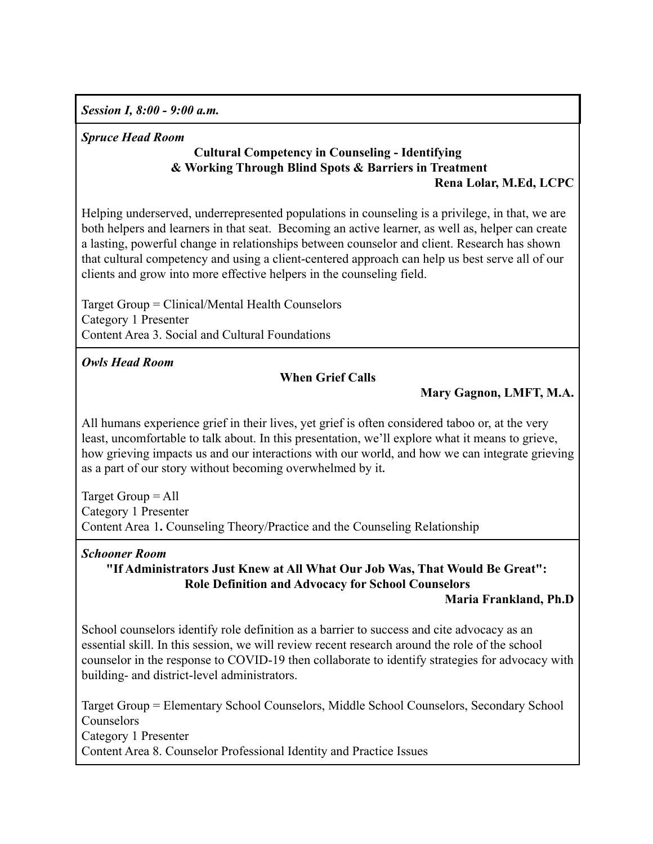*Session I, 8:00 - 9:00 a.m.*

### *Spruce Head Room*

### **Cultural Competency in Counseling - Identifying & Working Through Blind Spots & Barriers in Treatment Rena Lolar, M.Ed, LCPC**

Helping underserved, underrepresented populations in counseling is a privilege, in that, we are both helpers and learners in that seat. Becoming an active learner, as well as, helper can create a lasting, powerful change in relationships between counselor and client. Research has shown that cultural competency and using a client-centered approach can help us best serve all of our clients and grow into more effective helpers in the counseling field.

Target Group = Clinical/Mental Health Counselors Category 1 Presenter Content Area 3. Social and Cultural Foundations

*Owls Head Room*

# **When Grief Calls**

# **Mary Gagnon, LMFT, M.A.**

All humans experience grief in their lives, yet grief is often considered taboo or, at the very least, uncomfortable to talk about. In this presentation, we'll explore what it means to grieve, how grieving impacts us and our interactions with our world, and how we can integrate grieving as a part of our story without becoming overwhelmed by it**.**

Target Group = All Category 1 Presenter Content Area 1**.** Counseling Theory/Practice and the Counseling Relationship

# *Schooner Room*

**"If Administrators Just Knew at All What Our Job Was, That Would Be Great": Role Definition and Advocacy for School Counselors**

#### **Maria Frankland, Ph.D**

School counselors identify role definition as a barrier to success and cite advocacy as an essential skill. In this session, we will review recent research around the role of the school counselor in the response to COVID-19 then collaborate to identify strategies for advocacy with building- and district-level administrators.

Target Group = Elementary School Counselors, Middle School Counselors, Secondary School Counselors Category 1 Presenter Content Area 8. Counselor Professional Identity and Practice Issues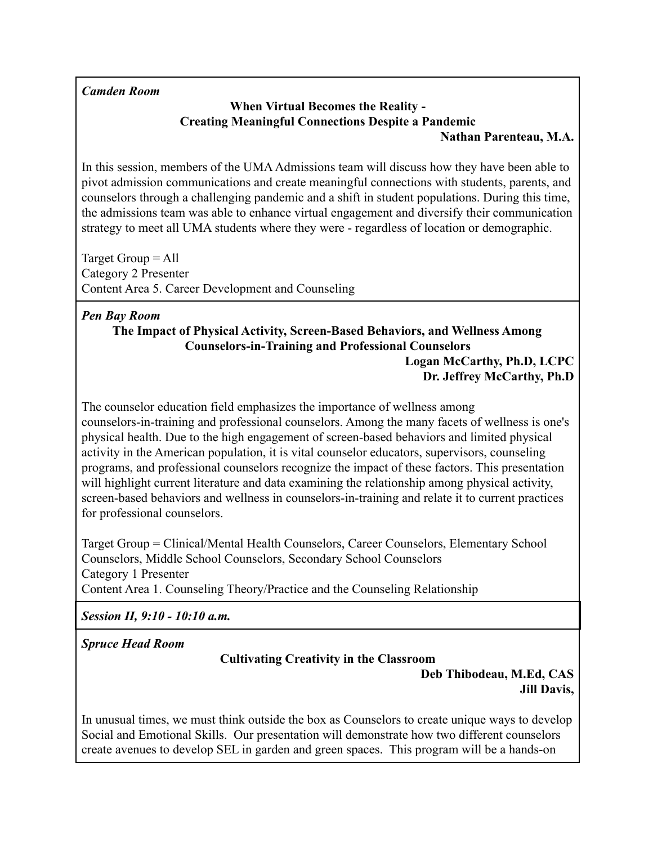# *Camden Room*

# **When Virtual Becomes the Reality - Creating Meaningful Connections Despite a Pandemic**

#### **Nathan Parenteau, M.A.**

In this session, members of the UMA Admissions team will discuss how they have been able to pivot admission communications and create meaningful connections with students, parents, and counselors through a challenging pandemic and a shift in student populations. During this time, the admissions team was able to enhance virtual engagement and diversify their communication strategy to meet all UMA students where they were - regardless of location or demographic.

Target Group = All Category 2 Presenter Content Area 5. Career Development and Counseling

# *Pen Bay Room*

# **The Impact of Physical Activity, Screen-Based Behaviors, and Wellness Among Counselors-in-Training and Professional Counselors**

# **Logan McCarthy, Ph.D, LCPC Dr. Jeffrey McCarthy, Ph.D**

The counselor education field emphasizes the importance of wellness among counselors-in-training and professional counselors. Among the many facets of wellness is one's physical health. Due to the high engagement of screen-based behaviors and limited physical activity in the American population, it is vital counselor educators, supervisors, counseling programs, and professional counselors recognize the impact of these factors. This presentation will highlight current literature and data examining the relationship among physical activity, screen-based behaviors and wellness in counselors-in-training and relate it to current practices for professional counselors.

Target Group = Clinical/Mental Health Counselors, Career Counselors, Elementary School Counselors, Middle School Counselors, Secondary School Counselors Category 1 Presenter Content Area 1. Counseling Theory/Practice and the Counseling Relationship

*Session II, 9:10 - 10:10 a.m.*

*Spruce Head Room*

# **Cultivating Creativity in the Classroom**

# **Deb Thibodeau, M.Ed, CAS Jill Davis,**

In unusual times, we must think outside the box as Counselors to create unique ways to develop Social and Emotional Skills. Our presentation will demonstrate how two different counselors create avenues to develop SEL in garden and green spaces. This program will be a hands-on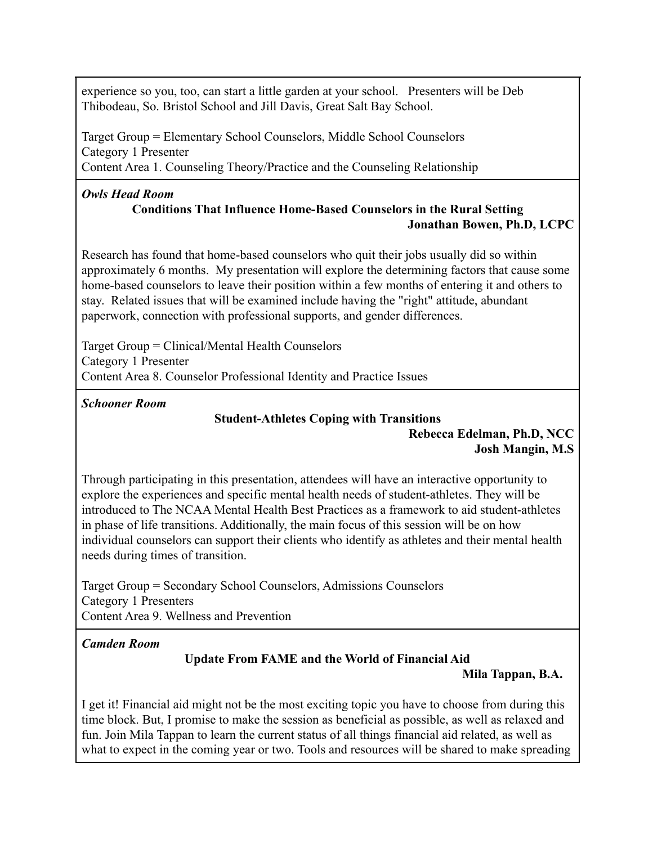experience so you, too, can start a little garden at your school. Presenters will be Deb Thibodeau, So. Bristol School and Jill Davis, Great Salt Bay School.

Target Group = Elementary School Counselors, Middle School Counselors Category 1 Presenter Content Area 1. Counseling Theory/Practice and the Counseling Relationship

#### *Owls Head Room* **Conditions That Influence Home-Based Counselors in the Rural Setting Jonathan Bowen, Ph.D, LCPC**

Research has found that home-based counselors who quit their jobs usually did so within approximately 6 months. My presentation will explore the determining factors that cause some home-based counselors to leave their position within a few months of entering it and others to stay. Related issues that will be examined include having the "right" attitude, abundant paperwork, connection with professional supports, and gender differences.

Target Group = Clinical/Mental Health Counselors Category 1 Presenter Content Area 8. Counselor Professional Identity and Practice Issues

*Schooner Room*

# **Student-Athletes Coping with Transitions**

**Rebecca Edelman, Ph.D, NCC Josh Mangin, M.S**

Through participating in this presentation, attendees will have an interactive opportunity to explore the experiences and specific mental health needs of student-athletes. They will be introduced to The NCAA Mental Health Best Practices as a framework to aid student-athletes in phase of life transitions. Additionally, the main focus of this session will be on how individual counselors can support their clients who identify as athletes and their mental health needs during times of transition.

Target Group = Secondary School Counselors, Admissions Counselors Category 1 Presenters Content Area 9. Wellness and Prevention

*Camden Room*

# **Update From FAME and the World of Financial Aid**

# **Mila Tappan, B.A.**

I get it! Financial aid might not be the most exciting topic you have to choose from during this time block. But, I promise to make the session as beneficial as possible, as well as relaxed and fun. Join Mila Tappan to learn the current status of all things financial aid related, as well as what to expect in the coming year or two. Tools and resources will be shared to make spreading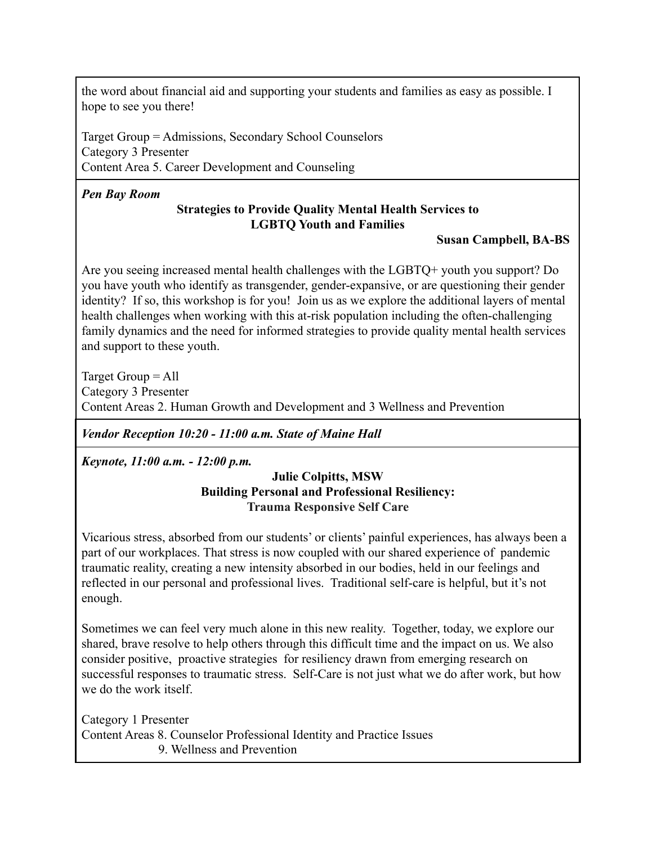the word about financial aid and supporting your students and families as easy as possible. I hope to see you there!

Target Group = Admissions, Secondary School Counselors Category 3 Presenter Content Area 5. Career Development and Counseling

# *Pen Bay Room*

# **Strategies to Provide Quality Mental Health Services to LGBTQ Youth and Families**

# **Susan Campbell, BA-BS**

Are you seeing increased mental health challenges with the LGBTQ+ youth you support? Do you have youth who identify as transgender, gender-expansive, or are questioning their gender identity? If so, this workshop is for you! Join us as we explore the additional layers of mental health challenges when working with this at-risk population including the often-challenging family dynamics and the need for informed strategies to provide quality mental health services and support to these youth.

Target Group = All Category 3 Presenter Content Areas 2. Human Growth and Development and 3 Wellness and Prevention

*Vendor Reception 10:20 - 11:00 a.m. State of Maine Hall*

*Keynote, 11:00 a.m. - 12:00 p.m.*

#### **Julie Colpitts, MSW Building Personal and Professional Resiliency: Trauma Responsive Self Care**

Vicarious stress, absorbed from our students' or clients' painful experiences, has always been a part of our workplaces. That stress is now coupled with our shared experience of pandemic traumatic reality, creating a new intensity absorbed in our bodies, held in our feelings and reflected in our personal and professional lives. Traditional self-care is helpful, but it's not enough.

Sometimes we can feel very much alone in this new reality. Together, today, we explore our shared, brave resolve to help others through this difficult time and the impact on us. We also consider positive, proactive strategies for resiliency drawn from emerging research on successful responses to traumatic stress. Self-Care is not just what we do after work, but how we do the work itself.

Category 1 Presenter Content Areas 8. Counselor Professional Identity and Practice Issues 9. Wellness and Prevention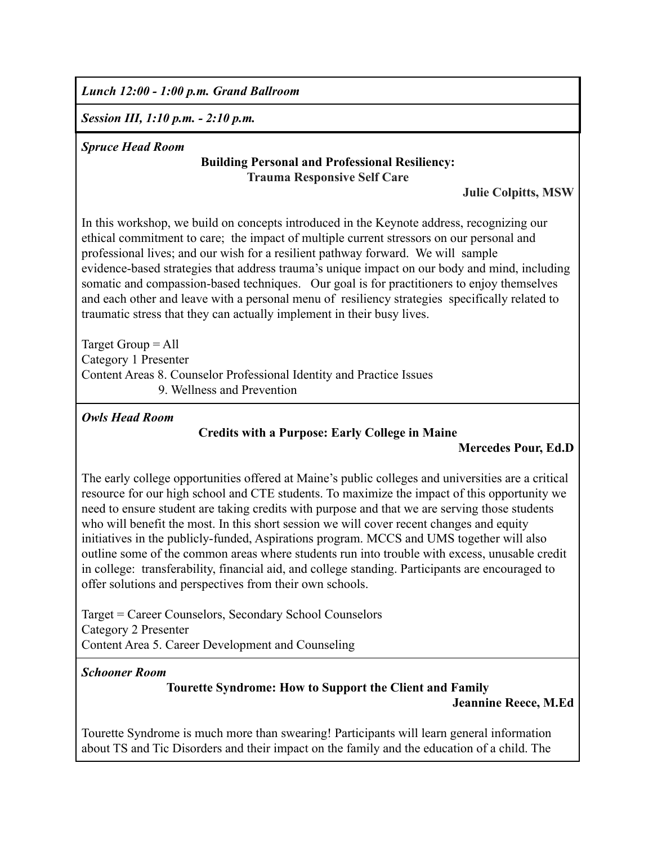*Lunch 12:00 - 1:00 p.m. Grand Ballroom*

*Session III, 1:10 p.m. - 2:10 p.m.*

#### *Spruce Head Room*

# **Building Personal and Professional Resiliency: Trauma Responsive Self Care**

#### **Julie Colpitts, MSW**

In this workshop, we build on concepts introduced in the Keynote address, recognizing our ethical commitment to care; the impact of multiple current stressors on our personal and professional lives; and our wish for a resilient pathway forward. We will sample evidence-based strategies that address trauma's unique impact on our body and mind, including somatic and compassion-based techniques. Our goal is for practitioners to enjoy themselves and each other and leave with a personal menu of resiliency strategies specifically related to traumatic stress that they can actually implement in their busy lives.

Target Group = All Category 1 Presenter Content Areas 8. Counselor Professional Identity and Practice Issues 9. Wellness and Prevention

*Owls Head Room*

# **Credits with a Purpose: Early College in Maine**

#### **Mercedes Pour, Ed.D**

The early college opportunities offered at Maine's public colleges and universities are a critical resource for our high school and CTE students. To maximize the impact of this opportunity we need to ensure student are taking credits with purpose and that we are serving those students who will benefit the most. In this short session we will cover recent changes and equity initiatives in the publicly-funded, Aspirations program. MCCS and UMS together will also outline some of the common areas where students run into trouble with excess, unusable credit in college: transferability, financial aid, and college standing. Participants are encouraged to offer solutions and perspectives from their own schools.

Target = Career Counselors, Secondary School Counselors Category 2 Presenter Content Area 5. Career Development and Counseling

#### *Schooner Room*

# **Tourette Syndrome: How to Support the Client and Family**

**Jeannine Reece, M.Ed**

Tourette Syndrome is much more than swearing! Participants will learn general information about TS and Tic Disorders and their impact on the family and the education of a child. The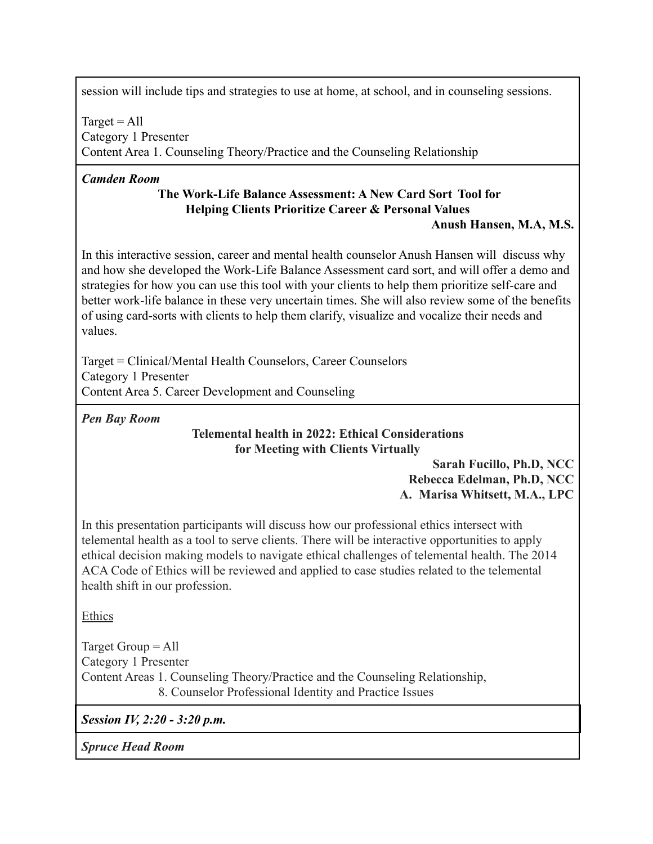session will include tips and strategies to use at home, at school, and in counseling sessions.

 $Target = All$ Category 1 Presenter Content Area 1. Counseling Theory/Practice and the Counseling Relationship

### *Camden Room*

# **The Work-Life Balance Assessment: A New Card Sort Tool for Helping Clients Prioritize Career & Personal Values**

# **Anush Hansen, M.A, M.S.**

In this interactive session, career and mental health counselor Anush Hansen will discuss why and how she developed the Work-Life Balance Assessment card sort, and will offer a demo and strategies for how you can use this tool with your clients to help them prioritize self-care and better work-life balance in these very uncertain times. She will also review some of the benefits of using card-sorts with clients to help them clarify, visualize and vocalize their needs and values.

Target = Clinical/Mental Health Counselors, Career Counselors Category 1 Presenter Content Area 5. Career Development and Counseling

*Pen Bay Room*

#### **Telemental health in 2022: Ethical Considerations for Meeting with Clients Virtually**

**Sarah Fucillo, Ph.D, NCC Rebecca Edelman, Ph.D, NCC A. Marisa Whitsett, M.A., LPC**

In this presentation participants will discuss how our professional ethics intersect with telemental health as a tool to serve clients. There will be interactive opportunities to apply ethical decision making models to navigate ethical challenges of telemental health. The 2014 ACA Code of Ethics will be reviewed and applied to case studies related to the telemental health shift in our profession.

Ethics

Target Group = All Category 1 Presenter Content Areas 1. Counseling Theory/Practice and the Counseling Relationship, 8. Counselor Professional Identity and Practice Issues

*Session IV, 2:20 - 3:20 p.m.*

*Spruce Head Room*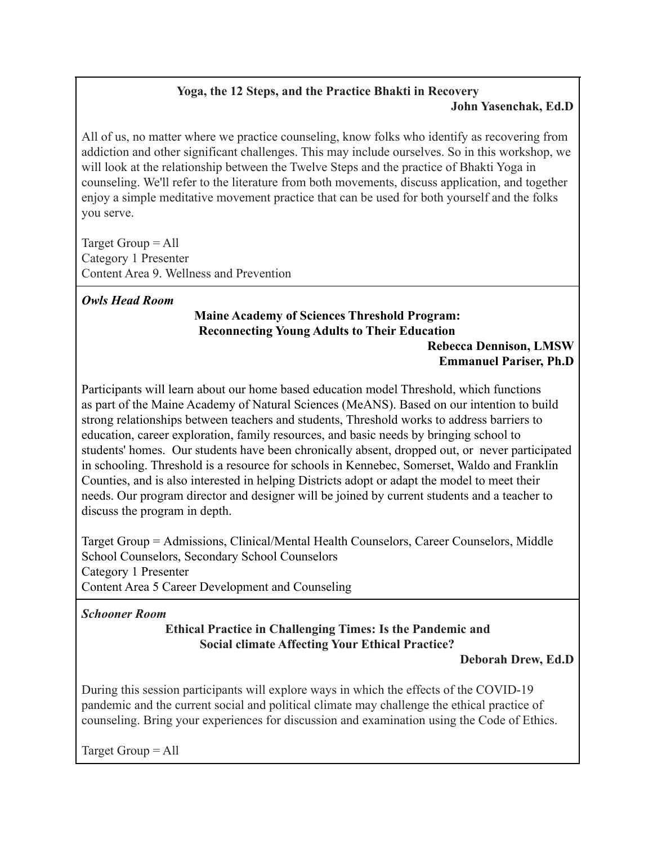# **Yoga, the 12 Steps, and the Practice Bhakti in Recovery John Yasenchak, Ed.D**

All of us, no matter where we practice counseling, know folks who identify as recovering from addiction and other significant challenges. This may include ourselves. So in this workshop, we will look at the relationship between the Twelve Steps and the practice of Bhakti Yoga in counseling. We'll refer to the literature from both movements, discuss application, and together enjoy a simple meditative movement practice that can be used for both yourself and the folks you serve.

Target Group = All Category 1 Presenter Content Area 9. Wellness and Prevention

# *Owls Head Room*

# **Maine Academy of Sciences Threshold Program: Reconnecting Young Adults to Their Education**

#### **Rebecca Dennison, LMSW Emmanuel Pariser, Ph.D**

Participants will learn about our home based education model Threshold, which functions as part of the Maine Academy of Natural Sciences (MeANS). Based on our intention to build strong relationships between teachers and students, Threshold works to address barriers to education, career exploration, family resources, and basic needs by bringing school to students' homes. Our students have been chronically absent, dropped out, or never participated in schooling. Threshold is a resource for schools in Kennebec, Somerset, Waldo and Franklin Counties, and is also interested in helping Districts adopt or adapt the model to meet their needs. Our program director and designer will be joined by current students and a teacher to discuss the program in depth.

Target Group = Admissions, Clinical/Mental Health Counselors, Career Counselors, Middle School Counselors, Secondary School Counselors Category 1 Presenter Content Area 5 Career Development and Counseling

*Schooner Room*

# **Ethical Practice in Challenging Times: Is the Pandemic and Social climate Affecting Your Ethical Practice?**

# **Deborah Drew, Ed.D**

During this session participants will explore ways in which the effects of the COVID-19 pandemic and the current social and political climate may challenge the ethical practice of counseling. Bring your experiences for discussion and examination using the Code of Ethics.

Target Group = All